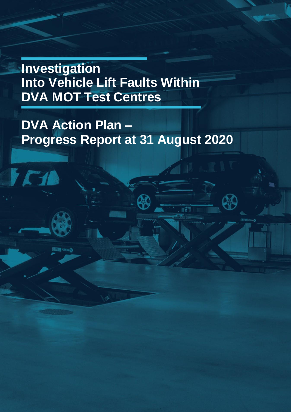**Investigation Into Vehicle Lift Faults Within DVA MOT Test Centres**

**SEVIN 420115 (D)** 

# **DVA Action Plan – Progress Report at 31 August 2020**

**A**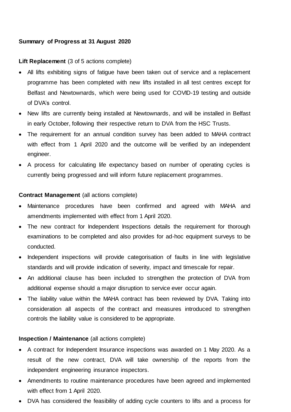### **Summary of Progress at 31 August 2020**

## **Lift Replacement** (3 of 5 actions complete)

- All lifts exhibiting signs of fatigue have been taken out of service and a replacement programme has been completed with new lifts installed in all test centres except for Belfast and Newtownards, which were being used for COVID-19 testing and outside of DVA's control.
- New lifts are currently being installed at Newtownards, and will be installed in Belfast in early October, following their respective return to DVA from the HSC Trusts.
- The requirement for an annual condition survey has been added to MAHA contract with effect from 1 April 2020 and the outcome will be verified by an independent engineer.
- A process for calculating life expectancy based on number of operating cycles is currently being progressed and will inform future replacement programmes.

## **Contract Management** (all actions complete)

- Maintenance procedures have been confirmed and agreed with MAHA and amendments implemented with effect from 1 April 2020.
- The new contract for Independent Inspections details the requirement for thorough examinations to be completed and also provides for ad-hoc equipment surveys to be conducted.
- Independent inspections will provide categorisation of faults in line with legislative standards and will provide indication of severity, impact and timescale for repair.
- An additional clause has been included to strengthen the protection of DVA from additional expense should a major disruption to service ever occur again.
- The liability value within the MAHA contract has been reviewed by DVA. Taking into consideration all aspects of the contract and measures introduced to strengthen controls the liability value is considered to be appropriate.

# **Inspection / Maintenance** (all actions complete)

- A contract for Independent Insurance inspections was awarded on 1 May 2020. As a result of the new contract, DVA will take ownership of the reports from the independent engineering insurance inspectors.
- Amendments to routine maintenance procedures have been agreed and implemented with effect from 1 April 2020.
- DVA has considered the feasibility of adding cycle counters to lifts and a process for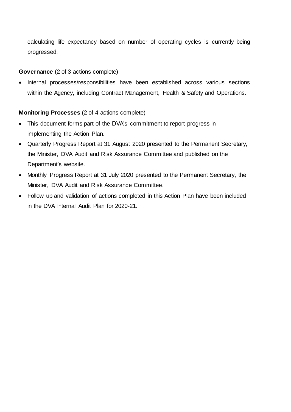calculating life expectancy based on number of operating cycles is currently being progressed.

## **Governance** (2 of 3 actions complete)

 Internal processes/responsibilities have been established across various sections within the Agency, including Contract Management, Health & Safety and Operations.

## **Monitoring Processes** (2 of 4 actions complete)

- This document forms part of the DVA's commitment to report progress in implementing the Action Plan.
- Quarterly Progress Report at 31 August 2020 presented to the Permanent Secretary, the Minister, DVA Audit and Risk Assurance Committee and published on the Department's website.
- Monthly Progress Report at 31 July 2020 presented to the Permanent Secretary, the Minister, DVA Audit and Risk Assurance Committee.
- Follow up and validation of actions completed in this Action Plan have been included in the DVA Internal Audit Plan for 2020-21.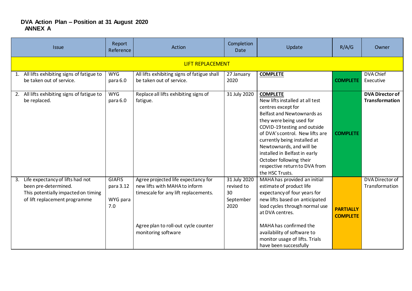#### **DVA Action Plan – Position at 31 August 2020 ANNEX A**

| <b>Issue</b>                                                                                                                           | Report<br>Reference                           | Action                                                                                                                                                                      | Completion<br><b>Date</b>                             | Update                                                                                                                                                                                                                                                                                                                                                                                   | R/A/G                               | Owner                                           |  |  |  |
|----------------------------------------------------------------------------------------------------------------------------------------|-----------------------------------------------|-----------------------------------------------------------------------------------------------------------------------------------------------------------------------------|-------------------------------------------------------|------------------------------------------------------------------------------------------------------------------------------------------------------------------------------------------------------------------------------------------------------------------------------------------------------------------------------------------------------------------------------------------|-------------------------------------|-------------------------------------------------|--|--|--|
|                                                                                                                                        | <b>LIFT REPLACEMENT</b>                       |                                                                                                                                                                             |                                                       |                                                                                                                                                                                                                                                                                                                                                                                          |                                     |                                                 |  |  |  |
| 1. All lifts exhibiting signs of fatigue to<br>be taken out of service.                                                                | <b>WYG</b><br>para 6.0                        | All lifts exhibiting signs of fatigue shall<br>be taken out of service.                                                                                                     | 27 January<br>2020                                    | <b>COMPLETE</b>                                                                                                                                                                                                                                                                                                                                                                          | <b>COMPLETE</b>                     | DVA Chief<br>Executive                          |  |  |  |
| 2. All lifts exhibiting signs of fatigue to<br>be replaced.                                                                            | <b>WYG</b><br>para 6.0                        | Replace all lifts exhibiting signs of<br>fatigue.                                                                                                                           | 31 July 2020                                          | <b>COMPLETE</b><br>New lifts installed at all test<br>centres except for<br><b>Belfast and Newtownards as</b><br>they were being used for<br>COVID-19 testing and outside<br>of DVA's control. New lifts are<br>currently being installed at<br>Newtownards, and will be<br>installed in Belfast in early<br>October following their<br>respective return to DVA from<br>the HSC Trusts. | <b>COMPLETE</b>                     | <b>DVA Director of</b><br><b>Transformation</b> |  |  |  |
| Life expectancy of lifts had not<br>3.<br>been pre-determined.<br>This potentially impacted on timing<br>of lift replacement programme | <b>GIAFIS</b><br>para 3.12<br>WYG para<br>7.0 | Agree projected life expectancy for<br>new lifts with MAHA to inform<br>timescale for any lift replacements.<br>Agree plan to roll-out cycle counter<br>monitoring software | 31 July 2020<br>revised to<br>30<br>September<br>2020 | MAHA has provided an initial<br>estimate of product life<br>expectancy of four years for<br>new lifts based on anticipated<br>load cycles through normal use<br>at DVA centres.<br>MAHA has confirmed the<br>availability of software to<br>monitor usage of lifts. Trials<br>have been successfully                                                                                     | <b>PARTIALLY</b><br><b>COMPLETE</b> | DVA Director of<br>Transformation               |  |  |  |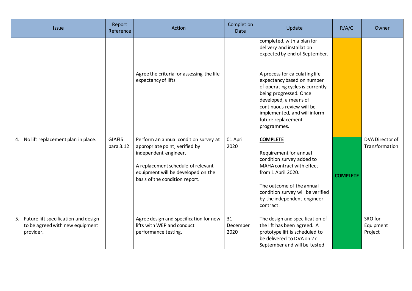| <b>Issue</b>                                                                            | Report<br>Reference        | Action                                                                                                                                                                                                         | Completion<br><b>Date</b>           | Update                                                                                                                                                                                                                                                                                                                                            | R/A/G           | Owner                             |
|-----------------------------------------------------------------------------------------|----------------------------|----------------------------------------------------------------------------------------------------------------------------------------------------------------------------------------------------------------|-------------------------------------|---------------------------------------------------------------------------------------------------------------------------------------------------------------------------------------------------------------------------------------------------------------------------------------------------------------------------------------------------|-----------------|-----------------------------------|
|                                                                                         |                            | Agree the criteria for assessing the life<br>expectancy of lifts                                                                                                                                               |                                     | completed, with a plan for<br>delivery and installation<br>expected by end of September.<br>A process for calculating life<br>expectancy based on number<br>of operating cycles is currently<br>being progressed. Once<br>developed, a means of<br>continuous review will be<br>implemented, and will inform<br>future replacement<br>programmes. |                 |                                   |
| No lift replacement plan in place.<br>4.                                                | <b>GIAFIS</b><br>para 3.12 | Perform an annual condition survey at<br>appropriate point, verified by<br>independent engineer.<br>A replacement schedule of relevant<br>equipment will be developed on the<br>basis of the condition report. | 01 April<br>2020                    | <b>COMPLETE</b><br>Requirement for annual<br>condition survey added to<br>MAHA contract with effect<br>from 1 April 2020.<br>The outcome of the annual<br>condition survey will be verified<br>by the independent engineer<br>contract.                                                                                                           | <b>COMPLETE</b> | DVA Director of<br>Transformation |
| 5. Future lift specification and design<br>to be agreed with new equipment<br>provider. |                            | Agree design and specification for new<br>lifts with WEP and conduct<br>performance testing.                                                                                                                   | $\overline{31}$<br>December<br>2020 | The design and specification of<br>the lift has been agreed. A<br>prototype lift is scheduled to<br>be delivered to DVA on 27<br>September and will be tested                                                                                                                                                                                     |                 | SRO for<br>Equipment<br>Project   |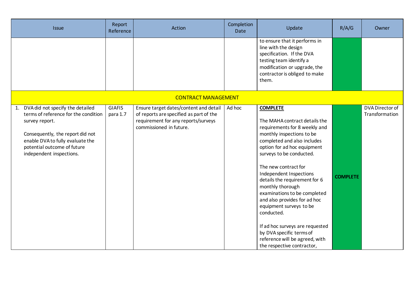| <b>Issue</b>                                                                                                                                                                                                                     | Report<br>Reference       | Action                                                                                                                                              | Completion<br><b>Date</b> | Update                                                                                                                                                                                                                                                                                                                                                                                                                                                                                                                                                   | R/A/G           | Owner                             |
|----------------------------------------------------------------------------------------------------------------------------------------------------------------------------------------------------------------------------------|---------------------------|-----------------------------------------------------------------------------------------------------------------------------------------------------|---------------------------|----------------------------------------------------------------------------------------------------------------------------------------------------------------------------------------------------------------------------------------------------------------------------------------------------------------------------------------------------------------------------------------------------------------------------------------------------------------------------------------------------------------------------------------------------------|-----------------|-----------------------------------|
|                                                                                                                                                                                                                                  |                           |                                                                                                                                                     |                           | to ensure that it performs in<br>line with the design<br>specification. If the DVA<br>testing team identify a<br>modification or upgrade, the<br>contractor is obliged to make<br>them.                                                                                                                                                                                                                                                                                                                                                                  |                 |                                   |
|                                                                                                                                                                                                                                  |                           | <b>CONTRACT MANAGEMENT</b>                                                                                                                          |                           |                                                                                                                                                                                                                                                                                                                                                                                                                                                                                                                                                          |                 |                                   |
| 1. DVA did not specify the detailed<br>terms of reference for the condition<br>survey report.<br>Consequently, the report did not<br>enable DVA to fully evaluate the<br>potential outcome of future<br>independent inspections. | <b>GIAFIS</b><br>para 1.7 | Ensure target dates/content and detail<br>of reports are specified as part of the<br>requirement for any reports/surveys<br>commissioned in future. | Ad hoc                    | <b>COMPLETE</b><br>The MAHA contract details the<br>requirements for 8 weekly and<br>monthly inspections to be<br>completed and also includes<br>option for ad hoc equipment<br>surveys to be conducted.<br>The new contract for<br>Independent Inspections<br>details the requirement for 6<br>monthly thorough<br>examinations to be completed<br>and also provides for ad hoc<br>equipment surveys to be<br>conducted.<br>If ad hoc surveys are requested<br>by DVA specific terms of<br>reference will be agreed, with<br>the respective contractor, | <b>COMPLETE</b> | DVA Director of<br>Transformation |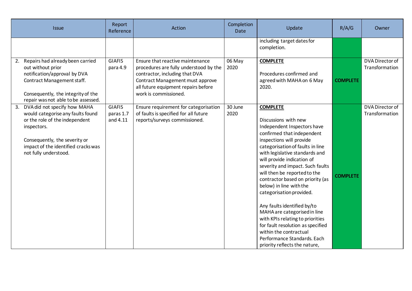| <b>Issue</b>                                                                                                                                                                                                              | Report<br>Reference                    | Action                                                                                                                                                                                                           | Completion<br><b>Date</b> | Update                                                                                                                                                                                                                                                                                                                                                                                                                                                                                                                                                                                                                                | R/A/G           | Owner                             |
|---------------------------------------------------------------------------------------------------------------------------------------------------------------------------------------------------------------------------|----------------------------------------|------------------------------------------------------------------------------------------------------------------------------------------------------------------------------------------------------------------|---------------------------|---------------------------------------------------------------------------------------------------------------------------------------------------------------------------------------------------------------------------------------------------------------------------------------------------------------------------------------------------------------------------------------------------------------------------------------------------------------------------------------------------------------------------------------------------------------------------------------------------------------------------------------|-----------------|-----------------------------------|
|                                                                                                                                                                                                                           |                                        |                                                                                                                                                                                                                  |                           | including target dates for<br>completion.                                                                                                                                                                                                                                                                                                                                                                                                                                                                                                                                                                                             |                 |                                   |
| Repairs had already been carried<br>2.<br>out without prior<br>notification/approval by DVA<br>Contract Management staff.<br>Consequently, the integrity of the<br>repair was not able to be assessed.                    | <b>GIAFIS</b><br>para 4.9              | Ensure that reactive maintenance<br>procedures are fully understood by the<br>contractor, including that DVA<br>Contract Management must approve<br>all future equipment repairs before<br>work is commissioned. | 06 May<br>2020            | <b>COMPLETE</b><br>Procedures confirmed and<br>agreed with MAHA on 6 May<br>2020.                                                                                                                                                                                                                                                                                                                                                                                                                                                                                                                                                     | <b>COMPLETE</b> | DVA Director of<br>Transformation |
| DVA did not specify how MAHA<br>3.<br>would categorise any faults found<br>or the role of the independent<br>inspectors.<br>Consequently, the severity or<br>impact of the identified cracks was<br>not fully understood. | <b>GIAFIS</b><br>paras 1.7<br>and 4.11 | Ensure requirement for categorisation<br>of faults is specified for all future<br>reports/surveys commissioned.                                                                                                  | 30 June<br>2020           | <b>COMPLETE</b><br>Discussions with new<br>Independent Inspectors have<br>confirmed that independent<br>inspections will provide<br>categorisation of faults in line<br>with legislative standards and<br>will provide indication of<br>severity and impact. Such faults<br>will then be reported to the<br>contractor based on priority (as<br>below) in line with the<br>categorisation provided.<br>Any faults identified by/to<br>MAHA are categorised in line<br>with KPIs relating to priorities<br>for fault resolution as specified<br>within the contractual<br>Performance Standards. Each<br>priority reflects the nature, | <b>COMPLETE</b> | DVA Director of<br>Transformation |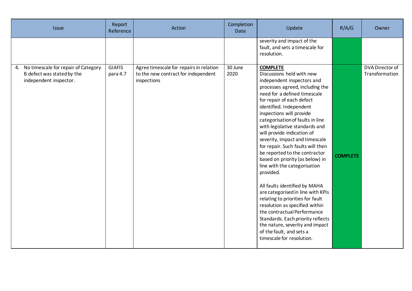| <b>Issue</b>                                                                                   | Report<br>Reference       | Action                                                                                        | Completion<br><b>Date</b> | Update                                                                                                                                                                                                                                                                                                                                                                                                                                                                                                                                                                                                                                                                                                                                                                                                                                    | R/A/G           | Owner                                    |
|------------------------------------------------------------------------------------------------|---------------------------|-----------------------------------------------------------------------------------------------|---------------------------|-------------------------------------------------------------------------------------------------------------------------------------------------------------------------------------------------------------------------------------------------------------------------------------------------------------------------------------------------------------------------------------------------------------------------------------------------------------------------------------------------------------------------------------------------------------------------------------------------------------------------------------------------------------------------------------------------------------------------------------------------------------------------------------------------------------------------------------------|-----------------|------------------------------------------|
|                                                                                                |                           |                                                                                               |                           | severity and impact of the<br>fault, and sets a timescale for<br>resolution.                                                                                                                                                                                                                                                                                                                                                                                                                                                                                                                                                                                                                                                                                                                                                              |                 |                                          |
| 4. No timescale for repair of Category<br>B defect was stated by the<br>independent inspector. | <b>GIAFIS</b><br>para 4.7 | Agree timescale for repairs in relation<br>to the new contract for independent<br>inspections | 30 June<br>2020           | <b>COMPLETE</b><br>Discussions held with new<br>independent inspectors and<br>processes agreed, including the<br>need for a defined timescale<br>for repair of each defect<br>identified. Independent<br>inspections will provide<br>categorisation of faults in line<br>with legislative standards and<br>will provide indication of<br>severity, impact and timescale<br>for repair. Such faults will then<br>be reported to the contractor<br>based on priority (as below) in<br>line with the categorisation<br>provided.<br>All faults identified by MAHA<br>are categorised in line with KPIs<br>relating to priorities for fault<br>resolution as specified within<br>the contractual Performance<br>Standards. Each priority reflects<br>the nature, severity and impact<br>of the fault, and sets a<br>timescale for resolution. | <b>COMPLETE</b> | <b>DVA Director of</b><br>Transformation |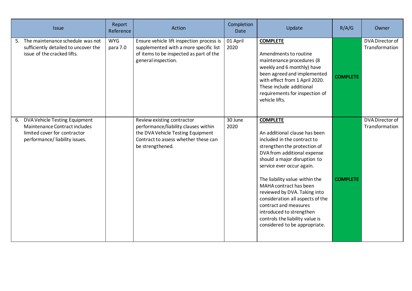| <b>Issue</b>                                                                                                                       | Report<br>Reference    | Action                                                                                                                                                              | Completion<br><b>Date</b> | Update                                                                                                                                                                                                                                                                                                                                                                                                                                                               | R/A/G           | Owner                             |
|------------------------------------------------------------------------------------------------------------------------------------|------------------------|---------------------------------------------------------------------------------------------------------------------------------------------------------------------|---------------------------|----------------------------------------------------------------------------------------------------------------------------------------------------------------------------------------------------------------------------------------------------------------------------------------------------------------------------------------------------------------------------------------------------------------------------------------------------------------------|-----------------|-----------------------------------|
| 5. The maintenance schedule was not<br>sufficiently detailed to uncover the<br>issue of the cracked lifts.                         | <b>WYG</b><br>para 7.0 | Ensure vehicle lift inspection process is<br>supplemented with a more specific list<br>of items to be inspected as part of the<br>general inspection.               | 01 April<br>2020          | <b>COMPLETE</b><br>Amendments to routine<br>maintenance procedures (8<br>weekly and 6 monthly) have<br>been agreed and implemented<br>with effect from 1 April 2020.<br>These include additional<br>requirements for inspection of<br>vehicle lifts.                                                                                                                                                                                                                 | <b>COMPLETE</b> | DVA Director of<br>Transformation |
| 6. DVA Vehicle Testing Equipment<br>Maintenance Contract includes<br>limited cover for contractor<br>performance/liability issues. |                        | Review existing contractor<br>performance/liability clauses within<br>the DVA Vehicle Testing Equipment<br>Contract to assess whether these can<br>be strengthened. | 30 June<br>2020           | <b>COMPLETE</b><br>An additional clause has been<br>included in the contract to<br>strengthen the protection of<br>DVA from additional expense<br>should a major disruption to<br>service ever occur again.<br>The liability value within the<br>MAHA contract has been<br>reviewed by DVA. Taking into<br>consideration all aspects of the<br>contract and measures<br>introduced to strengthen<br>controls the liability value is<br>considered to be appropriate. | <b>COMPLETE</b> | DVA Director of<br>Transformation |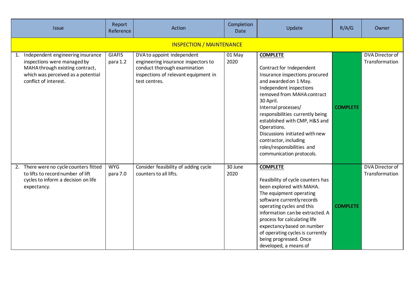| <b>Issue</b>                                                                                                                                                             | Report<br>Reference             | Action                                                                                                                                                     | Completion<br>Date | Update                                                                                                                                                                                                                                                                                                                                                                                                       | R/A/G           | Owner                             |  |  |
|--------------------------------------------------------------------------------------------------------------------------------------------------------------------------|---------------------------------|------------------------------------------------------------------------------------------------------------------------------------------------------------|--------------------|--------------------------------------------------------------------------------------------------------------------------------------------------------------------------------------------------------------------------------------------------------------------------------------------------------------------------------------------------------------------------------------------------------------|-----------------|-----------------------------------|--|--|
|                                                                                                                                                                          | <b>INSPECTION / MAINTENANCE</b> |                                                                                                                                                            |                    |                                                                                                                                                                                                                                                                                                                                                                                                              |                 |                                   |  |  |
| Independent engineering insurance<br>1.<br>inspections were managed by<br>MAHA through existing contract,<br>which was perceived as a potential<br>conflict of interest. | <b>GIAFIS</b><br>para 1.2       | DVA to appoint independent<br>engineering insurance inspectors to<br>conduct thorough examination<br>inspections of relevant equipment in<br>test centres. | 01 May<br>2020     | <b>COMPLETE</b><br>Contract for Independent<br>Insurance inspections procured<br>and awarded on 1 May.<br>Independent inspections<br>removed from MAHA contract<br>30 April.<br>Internal processes/<br>responsibilities currently being<br>established with CMP, H&S and<br>Operations.<br>Discussions initiated with new<br>contractor, including<br>roles/responsibilities and<br>communication protocols. | <b>COMPLETE</b> | DVA Director of<br>Transformation |  |  |
| There were no cycle counters fitted<br>2.<br>to lifts to record number of lift<br>cycles to inform a decision on life<br>expectancy.                                     | <b>WYG</b><br>para 7.0          | Consider feasibility of adding cycle<br>counters to all lifts.                                                                                             | 30 June<br>2020    | <b>COMPLETE</b><br>Feasibility of cycle counters has<br>been explored with MAHA.<br>The equipment operating<br>software currently records<br>operating cycles and this<br>information can be extracted. A<br>process for calculating life<br>expectancy based on number<br>of operating cycles is currently<br>being progressed. Once<br>developed, a means of                                               | <b>COMPLETE</b> | DVA Director of<br>Transformation |  |  |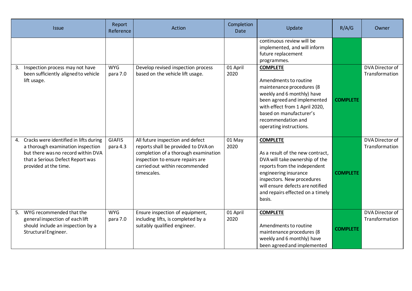| <b>Issue</b>                                                                                                                                                                      | Report<br>Reference       | Action                                                                                                                                                                                               | Completion<br><b>Date</b> | Update                                                                                                                                                                                                                                                         | R/A/G           | Owner                             |
|-----------------------------------------------------------------------------------------------------------------------------------------------------------------------------------|---------------------------|------------------------------------------------------------------------------------------------------------------------------------------------------------------------------------------------------|---------------------------|----------------------------------------------------------------------------------------------------------------------------------------------------------------------------------------------------------------------------------------------------------------|-----------------|-----------------------------------|
|                                                                                                                                                                                   |                           |                                                                                                                                                                                                      |                           | continuous review will be<br>implemented, and will inform<br>future replacement<br>programmes.                                                                                                                                                                 |                 |                                   |
| Inspection process may not have<br>3.<br>been sufficiently aligned to vehicle<br>lift usage.                                                                                      | <b>WYG</b><br>para 7.0    | Develop revised inspection process<br>based on the vehicle lift usage.                                                                                                                               | 01 April<br>2020          | <b>COMPLETE</b><br>Amendments to routine<br>maintenance procedures (8<br>weekly and 6 monthly) have<br>been agreed and implemented<br>with effect from 1 April 2020,<br>based on manufacturer's<br>recommendation and<br>operating instructions.               | <b>COMPLETE</b> | DVA Director of<br>Transformation |
| 4. Cracks were identified in lifts during<br>a thorough examination inspection<br>but there was no record within DVA<br>that a Serious Defect Report was<br>provided at the time. | <b>GIAFIS</b><br>para 4.3 | All future inspection and defect<br>reports shall be provided to DVA on<br>completion of a thorough examination<br>inspection to ensure repairs are<br>carried out within recommended<br>timescales. | 01 May<br>2020            | <b>COMPLETE</b><br>As a result of the new contract,<br>DVA will take ownership of the<br>reports from the independent<br>engineering insurance<br>inspectors. New procedures<br>will ensure defects are notified<br>and repairs effected on a timely<br>basis. | <b>COMPLETE</b> | DVA Director of<br>Transformation |
| WYG recommended that the<br>5.<br>general inspection of each lift<br>should include an inspection by a<br>Structural Engineer.                                                    | <b>WYG</b><br>para 7.0    | Ensure inspection of equipment,<br>including lifts, is completed by a<br>suitably qualified engineer.                                                                                                | 01 April<br>2020          | <b>COMPLETE</b><br>Amendments to routine<br>maintenance procedures (8<br>weekly and 6 monthly) have<br>been agreed and implemented                                                                                                                             | <b>COMPLETE</b> | DVA Director of<br>Transformation |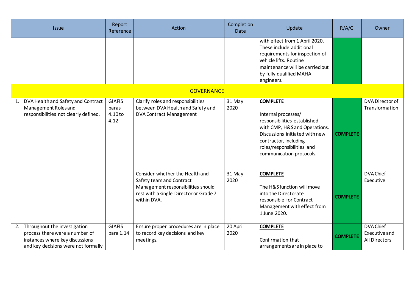| <b>Issue</b>                                                                                                                                   | Report<br>Reference                       | Action                                                                                                                                                     | Completion<br><b>Date</b> | Update                                                                                                                                                                                                                       | R/A/G           | Owner                                              |
|------------------------------------------------------------------------------------------------------------------------------------------------|-------------------------------------------|------------------------------------------------------------------------------------------------------------------------------------------------------------|---------------------------|------------------------------------------------------------------------------------------------------------------------------------------------------------------------------------------------------------------------------|-----------------|----------------------------------------------------|
|                                                                                                                                                |                                           |                                                                                                                                                            |                           | with effect from 1 April 2020.<br>These include additional<br>requirements for inspection of<br>vehicle lifts. Routine<br>maintenance will be carried out<br>by fully qualified MAHA<br>engineers.                           |                 |                                                    |
|                                                                                                                                                |                                           | <b>GOVERNANCE</b>                                                                                                                                          |                           |                                                                                                                                                                                                                              |                 |                                                    |
| DVA Health and Safety and Contract<br>Management Roles and<br>responsibilities not clearly defined.                                            | <b>GIAFIS</b><br>paras<br>4.10 to<br>4.12 | Clarify roles and responsibilities<br>between DVA Health and Safety and<br><b>DVA Contract Management</b>                                                  | 31 May<br>2020            | <b>COMPLETE</b><br>Internal processes/<br>responsibilities established<br>with CMP, H&S and Operations.<br>Discussions initiated with new<br>contractor, including<br>roles/responsibilities and<br>communication protocols. | <b>COMPLETE</b> | DVA Director of<br>Transformation                  |
|                                                                                                                                                |                                           | Consider whether the Health and<br>Safety team and Contract<br>Management responsibilities should<br>rest with a single Director or Grade 7<br>within DVA. | 31 May<br>2020            | <b>COMPLETE</b><br>The H&S function will move<br>into the Directorate<br>responsible for Contract<br>Management with effect from<br>1 June 2020.                                                                             | <b>COMPLETE</b> | <b>DVA Chief</b><br>Executive                      |
| Throughout the investigation<br>2.<br>process there were a number of<br>instances where key discussions<br>and key decisions were not formally | <b>GIAFIS</b><br>para 1.14                | Ensure proper procedures are in place<br>to record key decisions and key<br>meetings.                                                                      | 20 April<br>2020          | <b>COMPLETE</b><br>Confirmation that<br>arrangements are in place to                                                                                                                                                         | <b>COMPLETE</b> | <b>DVA Chief</b><br>Executive and<br>All Directors |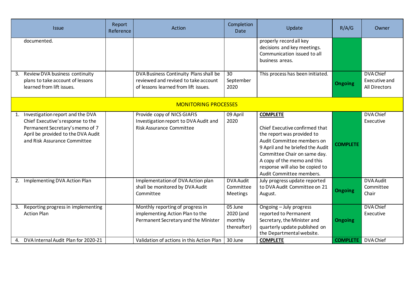| <b>Issue</b>                                                                                                                                                                         | Report<br>Reference | Action                                                                                                                 | Completion<br>Date                               | Update                                                                                                                                                                                                                                                                          | R/A/G           | Owner                                                     |  |
|--------------------------------------------------------------------------------------------------------------------------------------------------------------------------------------|---------------------|------------------------------------------------------------------------------------------------------------------------|--------------------------------------------------|---------------------------------------------------------------------------------------------------------------------------------------------------------------------------------------------------------------------------------------------------------------------------------|-----------------|-----------------------------------------------------------|--|
| documented.                                                                                                                                                                          |                     |                                                                                                                        |                                                  | properly record all key<br>decisions and key meetings.<br>Communication issued to all<br>business areas.                                                                                                                                                                        |                 |                                                           |  |
| Review DVA business continuity<br>3.<br>plans to take account of lessons<br>learned from lift issues.                                                                                |                     | DVA Business Continuity Plans shall be<br>reviewed and revised to take account<br>of lessons learned from lift issues. | $\overline{30}$<br>September<br>2020             | This process has been initiated.                                                                                                                                                                                                                                                | <b>Ongoing</b>  | <b>DVA Chief</b><br>Executive and<br><b>All Directors</b> |  |
| <b>MONITORING PROCESSES</b>                                                                                                                                                          |                     |                                                                                                                        |                                                  |                                                                                                                                                                                                                                                                                 |                 |                                                           |  |
| Investigation report and the DVA<br>1.<br>Chief Executive's response to the<br>Permanent Secretary's memo of 7<br>April be provided to the DVA Audit<br>and Risk Assurance Committee |                     | Provide copy of NICS GIAFIS<br>Investigation report to DVA Audit and<br><b>Risk Assurance Committee</b>                | 09 April<br>2020                                 | <b>COMPLETE</b><br>Chief Executive confirmed that<br>the report was provided to<br>Audit Committee members on<br>9 April and he briefed the Audit<br>Committee Chair on same day.<br>A copy of the memo and this<br>response will also be copied to<br>Audit Committee members. | <b>COMPLETE</b> | <b>DVA Chief</b><br>Executive                             |  |
| Implementing DVA Action Plan<br>2.                                                                                                                                                   |                     | Implementation of DVA Action plan<br>shall be monitored by DVA Audit<br>Committee                                      | <b>DVA Audit</b><br>Committee<br><b>Meetings</b> | July progress update reported<br>to DVA Audit Committee on 21<br>August.                                                                                                                                                                                                        | <b>Ongoing</b>  | <b>DVA Audit</b><br>Committee<br>Chair                    |  |
| Reporting progress in implementing<br>3.<br><b>Action Plan</b>                                                                                                                       |                     | Monthly reporting of progress in<br>implementing Action Plan to the<br>Permanent Secretary and the Minister            | 05 June<br>2020 (and<br>monthly<br>thereafter)   | Ongoing - July progress<br>reported to Permanent<br>Secretary, the Minister and<br>quarterly update published on<br>the Departmental website.                                                                                                                                   | <b>Ongoing</b>  | <b>DVA Chief</b><br>Executive                             |  |
| DVA Internal Audit Plan for 2020-21<br>4.                                                                                                                                            |                     | Validation of actions in this Action Plan                                                                              | 30 June                                          | <b>COMPLETE</b>                                                                                                                                                                                                                                                                 | <b>COMPLETE</b> | DVA Chief                                                 |  |